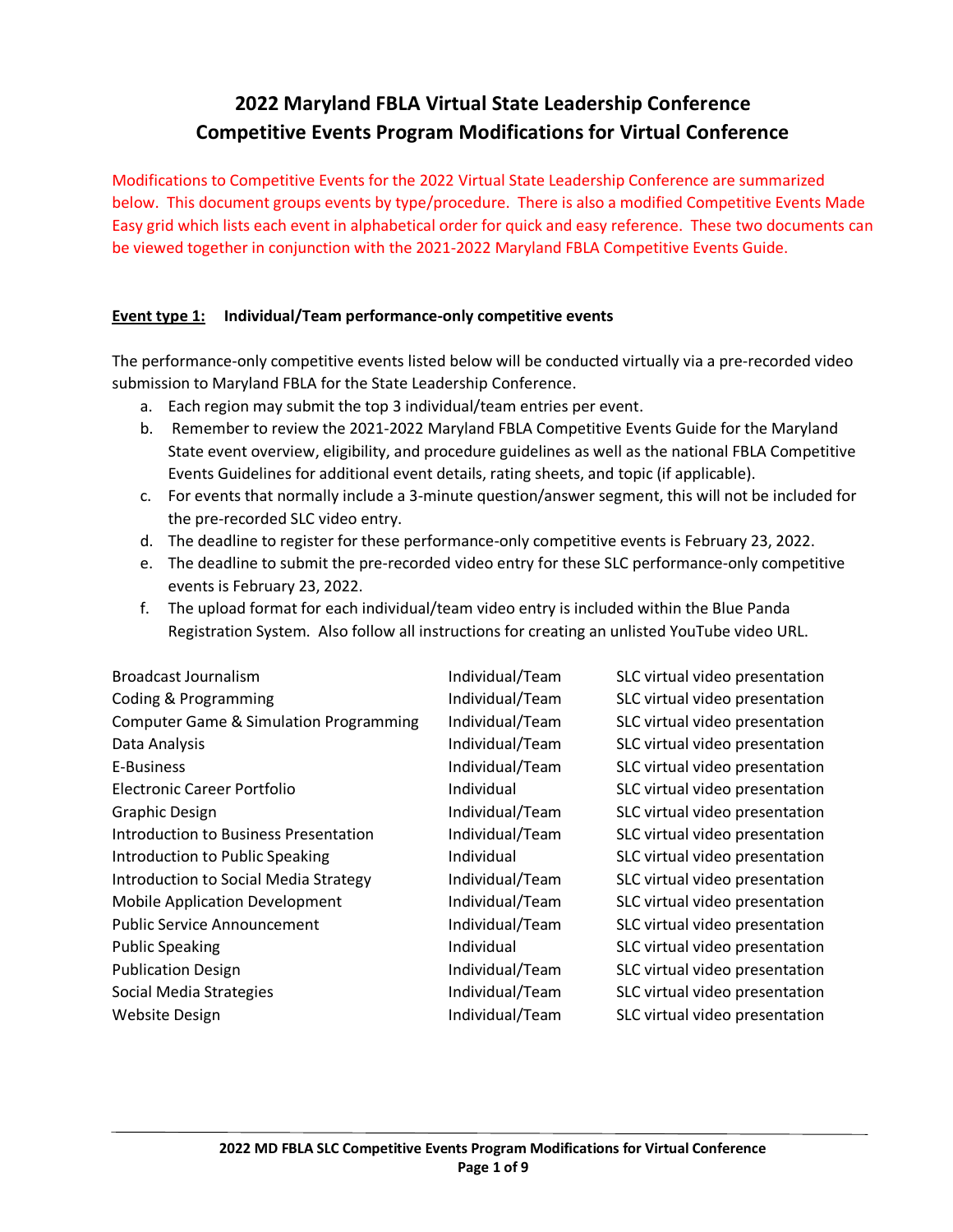# **2022 Maryland FBLA Virtual State Leadership Conference Competitive Events Program Modifications for Virtual Conference**

Modifications to Competitive Events for the 2022 Virtual State Leadership Conference are summarized below. This document groups events by type/procedure. There is also a modified Competitive Events Made Easy grid which lists each event in alphabetical order for quick and easy reference. These two documents can be viewed together in conjunction with the 2021-2022 Maryland FBLA Competitive Events Guide.

## **Event type 1: Individual/Team performance-only competitive events**

The performance-only competitive events listed below will be conducted virtually via a pre-recorded video submission to Maryland FBLA for the State Leadership Conference.

- a. Each region may submit the top 3 individual/team entries per event.
- b. Remember to review the 2021-2022 Maryland FBLA Competitive Events Guide for the Maryland State event overview, eligibility, and procedure guidelines as well as the national FBLA Competitive Events Guidelines for additional event details, rating sheets, and topic (if applicable).
- c. For events that normally include a 3-minute question/answer segment, this will not be included for the pre-recorded SLC video entry.
- d. The deadline to register for these performance-only competitive events is February 23, 2022.
- e. The deadline to submit the pre-recorded video entry for these SLC performance-only competitive events is February 23, 2022.
- f. The upload format for each individual/team video entry is included within the Blue Panda Registration System. Also follow all instructions for creating an unlisted YouTube video URL.

| <b>Broadcast Journalism</b>                       | Individual/Team | SLC virtual video presentation |
|---------------------------------------------------|-----------------|--------------------------------|
| Coding & Programming                              | Individual/Team | SLC virtual video presentation |
| <b>Computer Game &amp; Simulation Programming</b> | Individual/Team | SLC virtual video presentation |
| Data Analysis                                     | Individual/Team | SLC virtual video presentation |
| E-Business                                        | Individual/Team | SLC virtual video presentation |
| Electronic Career Portfolio                       | Individual      | SLC virtual video presentation |
| <b>Graphic Design</b>                             | Individual/Team | SLC virtual video presentation |
| Introduction to Business Presentation             | Individual/Team | SLC virtual video presentation |
| Introduction to Public Speaking                   | Individual      | SLC virtual video presentation |
| Introduction to Social Media Strategy             | Individual/Team | SLC virtual video presentation |
| <b>Mobile Application Development</b>             | Individual/Team | SLC virtual video presentation |
| <b>Public Service Announcement</b>                | Individual/Team | SLC virtual video presentation |
| <b>Public Speaking</b>                            | Individual      | SLC virtual video presentation |
| <b>Publication Design</b>                         | Individual/Team | SLC virtual video presentation |
| Social Media Strategies                           | Individual/Team | SLC virtual video presentation |
| <b>Website Design</b>                             | Individual/Team | SLC virtual video presentation |
|                                                   |                 |                                |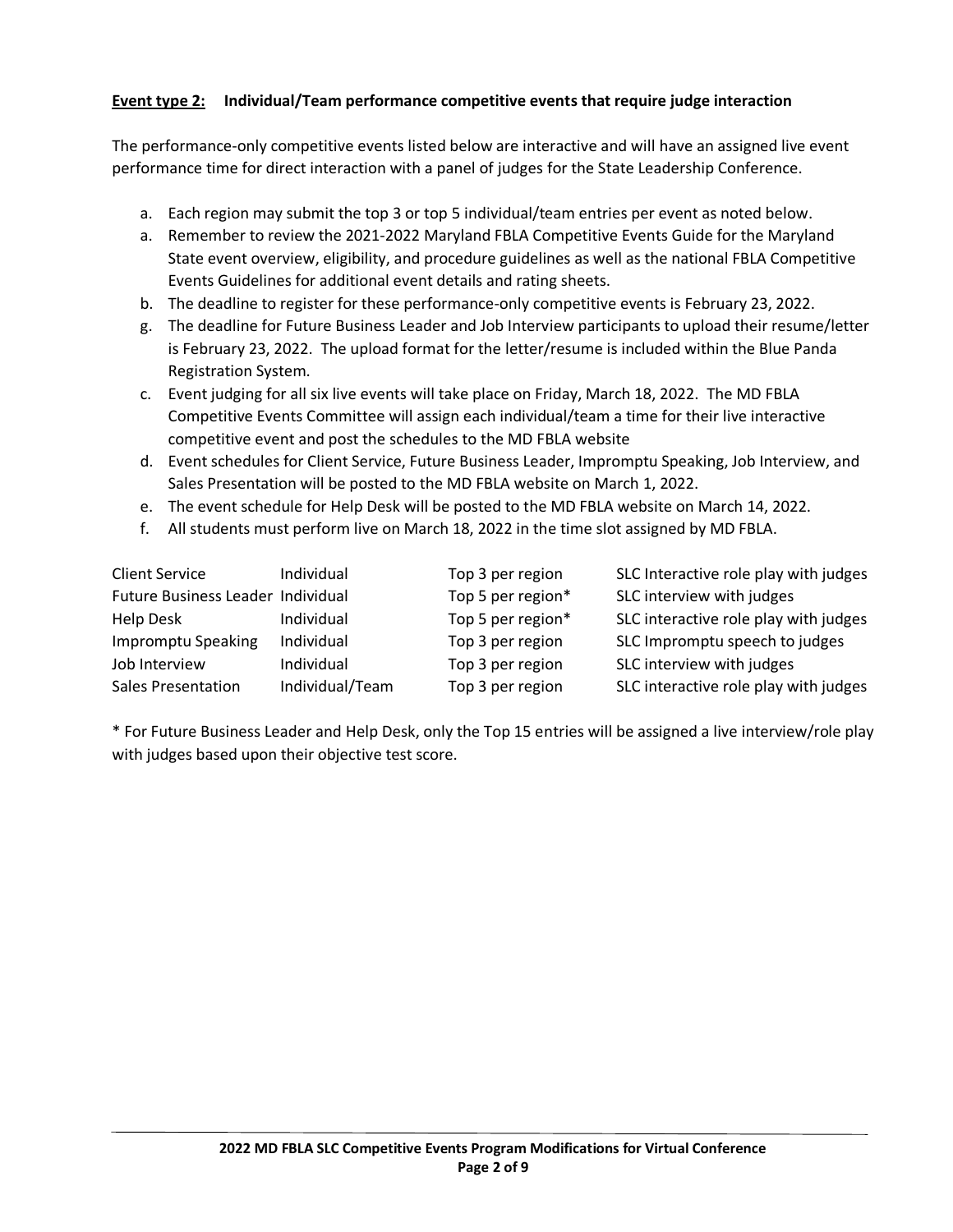# **Event type 2: Individual/Team performance competitive events that require judge interaction**

The performance-only competitive events listed below are interactive and will have an assigned live event performance time for direct interaction with a panel of judges for the State Leadership Conference.

- a. Each region may submit the top 3 or top 5 individual/team entries per event as noted below.
- a. Remember to review the 2021-2022 Maryland FBLA Competitive Events Guide for the Maryland State event overview, eligibility, and procedure guidelines as well as the national FBLA Competitive Events Guidelines for additional event details and rating sheets.
- b. The deadline to register for these performance-only competitive events is February 23, 2022.
- g. The deadline for Future Business Leader and Job Interview participants to upload their resume/letter is February 23, 2022. The upload format for the letter/resume is included within the Blue Panda Registration System.
- c. Event judging for all six live events will take place on Friday, March 18, 2022. The MD FBLA Competitive Events Committee will assign each individual/team a time for their live interactive competitive event and post the schedules to the MD FBLA website
- d. Event schedules for Client Service, Future Business Leader, Impromptu Speaking, Job Interview, and Sales Presentation will be posted to the MD FBLA website on March 1, 2022.
- e. The event schedule for Help Desk will be posted to the MD FBLA website on March 14, 2022.
- f. All students must perform live on March 18, 2022 in the time slot assigned by MD FBLA.

| <b>Client Service</b>             | Individual      | Top 3 per region  | SLC Interactive role play with judges |
|-----------------------------------|-----------------|-------------------|---------------------------------------|
| Future Business Leader Individual |                 | Top 5 per region* | SLC interview with judges             |
| <b>Help Desk</b>                  | Individual      | Top 5 per region* | SLC interactive role play with judges |
| Impromptu Speaking                | Individual      | Top 3 per region  | SLC Impromptu speech to judges        |
| Job Interview                     | Individual      | Top 3 per region  | SLC interview with judges             |
| <b>Sales Presentation</b>         | Individual/Team | Top 3 per region  | SLC interactive role play with judges |

\* For Future Business Leader and Help Desk, only the Top 15 entries will be assigned a live interview/role play with judges based upon their objective test score.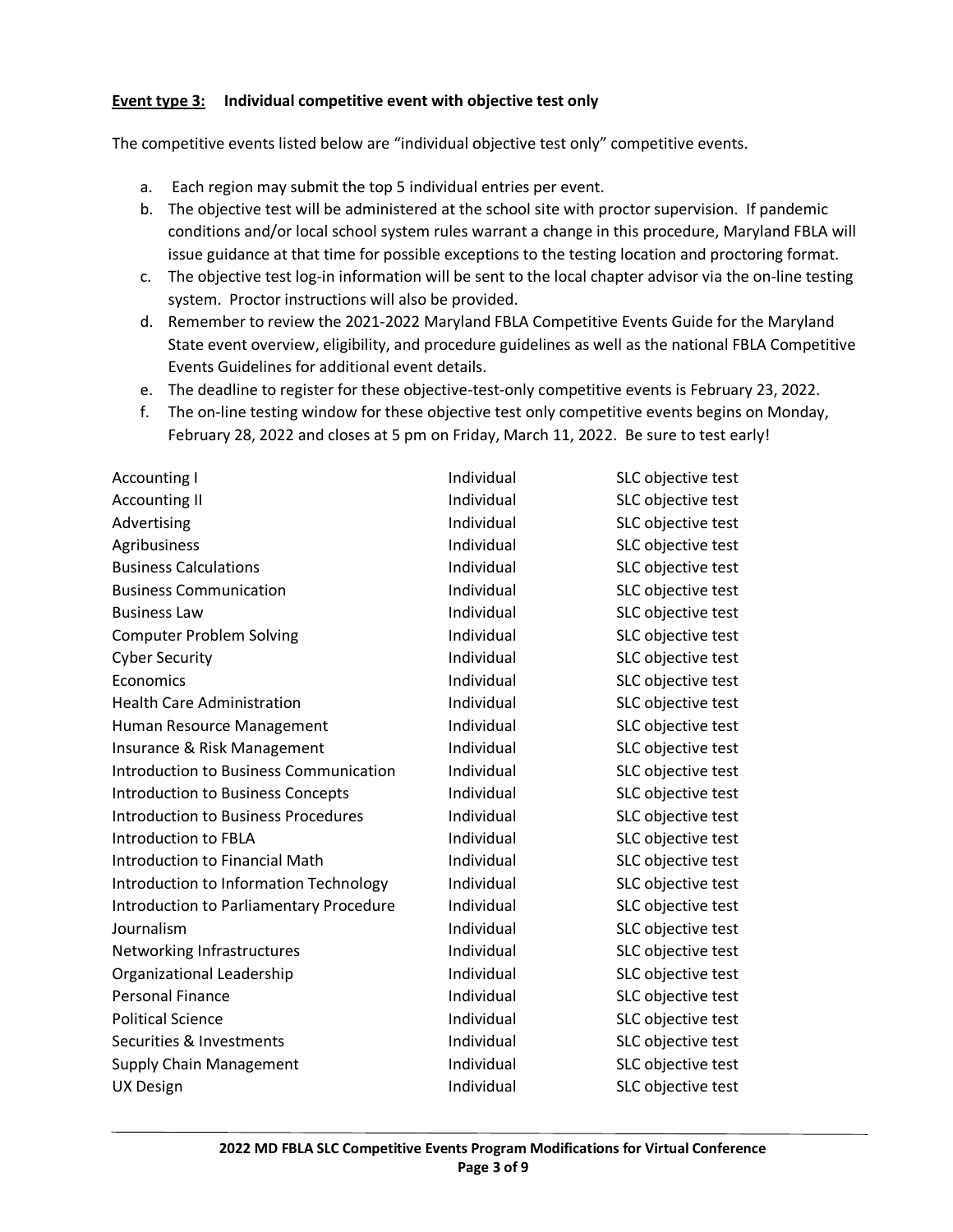#### **Event type 3: Individual competitive event with objective test only**

The competitive events listed below are "individual objective test only" competitive events.

- a. Each region may submit the top 5 individual entries per event.
- b. The objective test will be administered at the school site with proctor supervision. If pandemic conditions and/or local school system rules warrant a change in this procedure, Maryland FBLA will issue guidance at that time for possible exceptions to the testing location and proctoring format.
- c. The objective test log-in information will be sent to the local chapter advisor via the on-line testing system. Proctor instructions will also be provided.
- d. Remember to review the 2021-2022 Maryland FBLA Competitive Events Guide for the Maryland State event overview, eligibility, and procedure guidelines as well as the national FBLA Competitive Events Guidelines for additional event details.
- e. The deadline to register for these objective-test-only competitive events is February 23, 2022.
- f. The on-line testing window for these objective test only competitive events begins on Monday, February 28, 2022 and closes at 5 pm on Friday, March 11, 2022. Be sure to test early!

| <b>Accounting I</b>                        | Individual | SLC objective test |
|--------------------------------------------|------------|--------------------|
| <b>Accounting II</b>                       | Individual | SLC objective test |
| Advertising                                | Individual | SLC objective test |
| Agribusiness                               | Individual | SLC objective test |
| <b>Business Calculations</b>               | Individual | SLC objective test |
| <b>Business Communication</b>              | Individual | SLC objective test |
| <b>Business Law</b>                        | Individual | SLC objective test |
| <b>Computer Problem Solving</b>            | Individual | SLC objective test |
| <b>Cyber Security</b>                      | Individual | SLC objective test |
| Economics                                  | Individual | SLC objective test |
| <b>Health Care Administration</b>          | Individual | SLC objective test |
| Human Resource Management                  | Individual | SLC objective test |
| Insurance & Risk Management                | Individual | SLC objective test |
| Introduction to Business Communication     | Individual | SLC objective test |
| Introduction to Business Concepts          | Individual | SLC objective test |
| <b>Introduction to Business Procedures</b> | Individual | SLC objective test |
| Introduction to FBLA                       | Individual | SLC objective test |
| Introduction to Financial Math             | Individual | SLC objective test |
| Introduction to Information Technology     | Individual | SLC objective test |
| Introduction to Parliamentary Procedure    | Individual | SLC objective test |
| Journalism                                 | Individual | SLC objective test |
| Networking Infrastructures                 | Individual | SLC objective test |
| Organizational Leadership                  | Individual | SLC objective test |
| <b>Personal Finance</b>                    | Individual | SLC objective test |
| <b>Political Science</b>                   | Individual | SLC objective test |
| Securities & Investments                   | Individual | SLC objective test |
| <b>Supply Chain Management</b>             | Individual | SLC objective test |
| <b>UX Design</b>                           | Individual | SLC objective test |
|                                            |            |                    |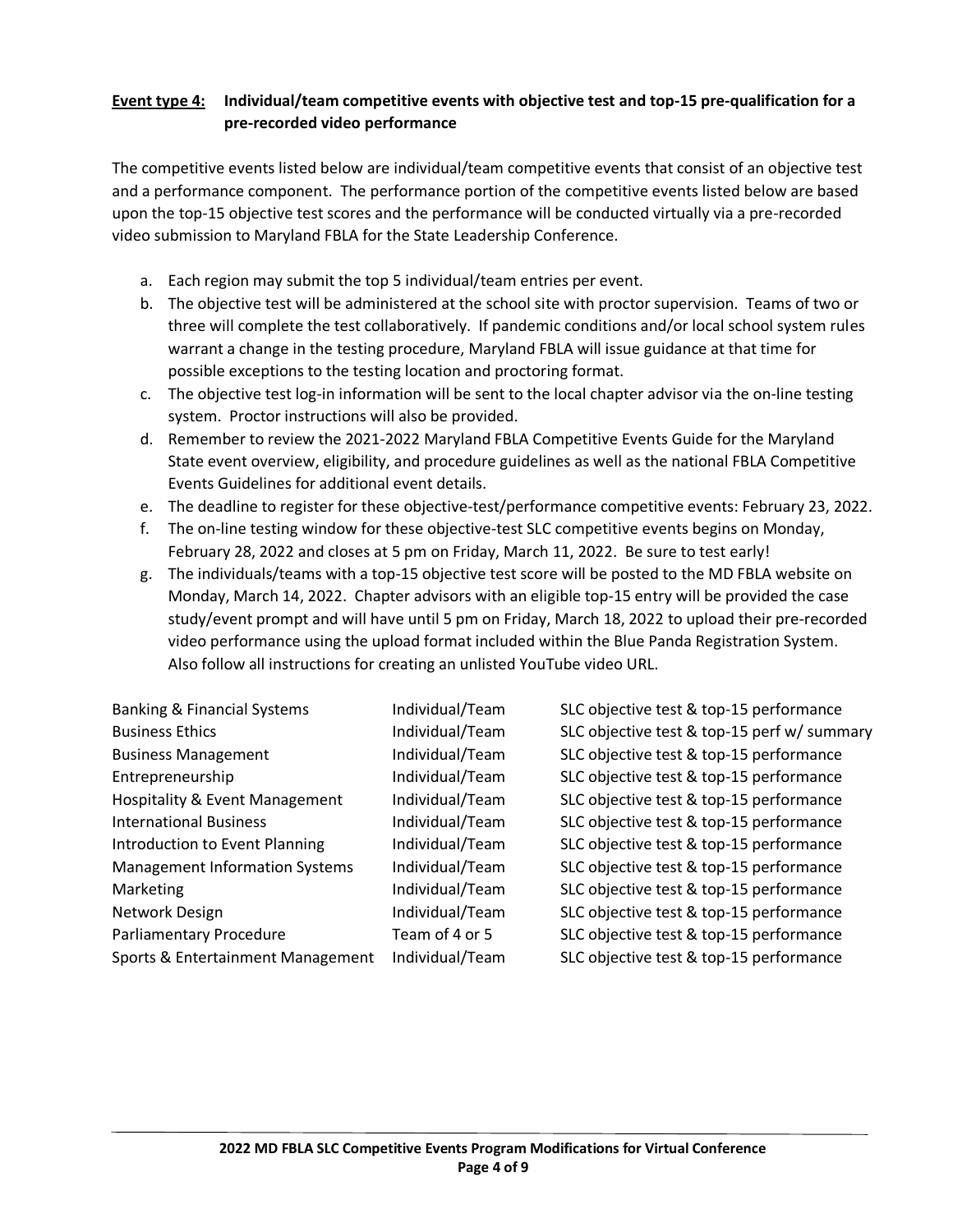## **Event type 4: Individual/team competitive events with objective test and top-15 pre-qualification for a pre-recorded video performance**

The competitive events listed below are individual/team competitive events that consist of an objective test and a performance component. The performance portion of the competitive events listed below are based upon the top-15 objective test scores and the performance will be conducted virtually via a pre-recorded video submission to Maryland FBLA for the State Leadership Conference.

- a. Each region may submit the top 5 individual/team entries per event.
- b. The objective test will be administered at the school site with proctor supervision. Teams of two or three will complete the test collaboratively. If pandemic conditions and/or local school system rules warrant a change in the testing procedure, Maryland FBLA will issue guidance at that time for possible exceptions to the testing location and proctoring format.
- c. The objective test log-in information will be sent to the local chapter advisor via the on-line testing system. Proctor instructions will also be provided.
- d. Remember to review the 2021-2022 Maryland FBLA Competitive Events Guide for the Maryland State event overview, eligibility, and procedure guidelines as well as the national FBLA Competitive Events Guidelines for additional event details.
- e. The deadline to register for these objective-test/performance competitive events: February 23, 2022.
- f. The on-line testing window for these objective-test SLC competitive events begins on Monday, February 28, 2022 and closes at 5 pm on Friday, March 11, 2022. Be sure to test early!
- g. The individuals/teams with a top-15 objective test score will be posted to the MD FBLA website on Monday, March 14, 2022. Chapter advisors with an eligible top-15 entry will be provided the case study/event prompt and will have until 5 pm on Friday, March 18, 2022 to upload their pre-recorded video performance using the upload format included within the Blue Panda Registration System. Also follow all instructions for creating an unlisted YouTube video URL.

| <b>Banking &amp; Financial Systems</b>    | Individual/Team | SLC objective test & top-15 performance     |
|-------------------------------------------|-----------------|---------------------------------------------|
| <b>Business Ethics</b>                    | Individual/Team | SLC objective test & top-15 perf w/ summary |
| <b>Business Management</b>                | Individual/Team | SLC objective test & top-15 performance     |
| Entrepreneurship                          | Individual/Team | SLC objective test & top-15 performance     |
| <b>Hospitality &amp; Event Management</b> | Individual/Team | SLC objective test & top-15 performance     |
| <b>International Business</b>             | Individual/Team | SLC objective test & top-15 performance     |
| Introduction to Event Planning            | Individual/Team | SLC objective test & top-15 performance     |
| <b>Management Information Systems</b>     | Individual/Team | SLC objective test & top-15 performance     |
| Marketing                                 | Individual/Team | SLC objective test & top-15 performance     |
| Network Design                            | Individual/Team | SLC objective test & top-15 performance     |
| Parliamentary Procedure                   | Team of 4 or 5  | SLC objective test & top-15 performance     |
| Sports & Entertainment Management         | Individual/Team | SLC objective test & top-15 performance     |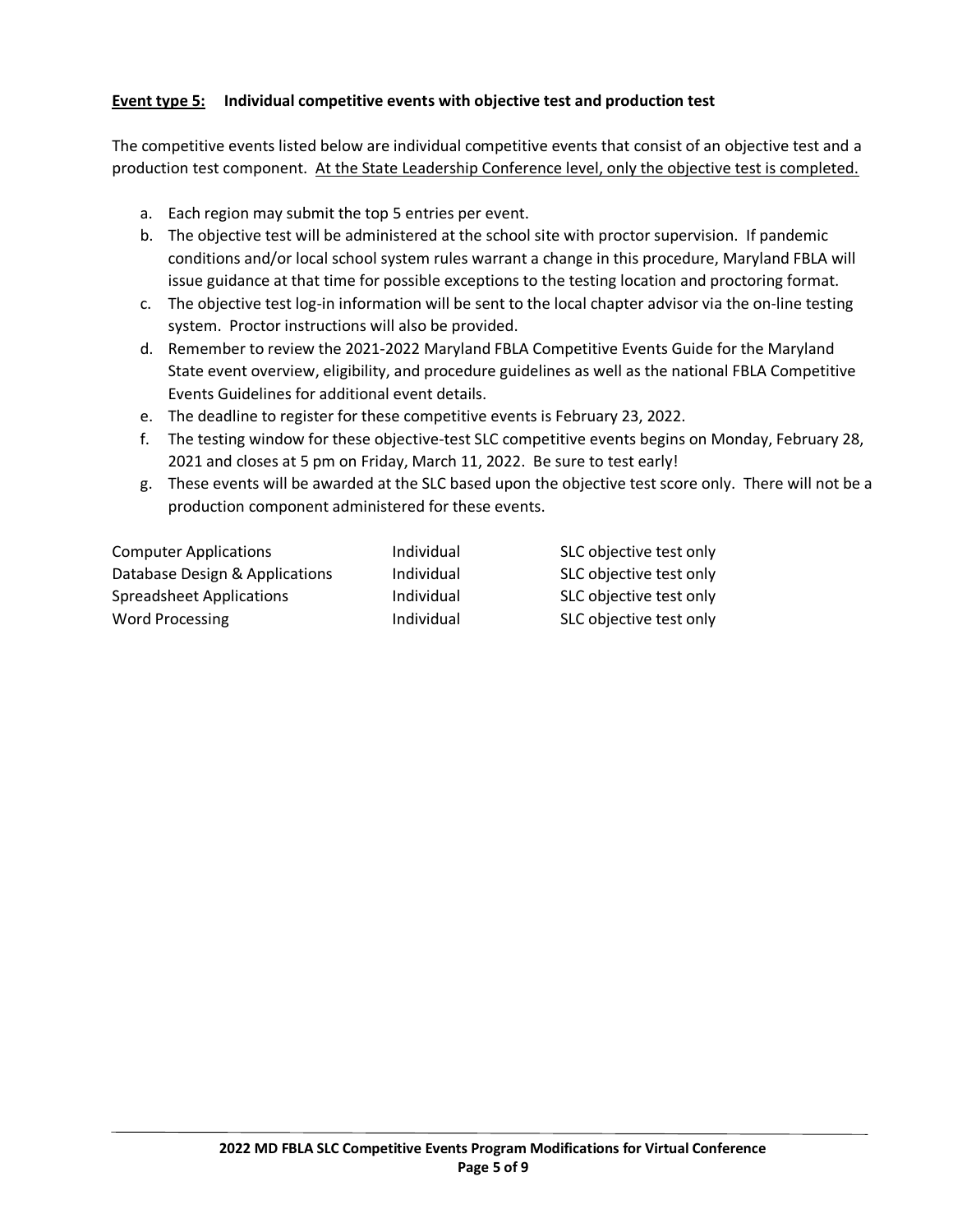## **Event type 5: Individual competitive events with objective test and production test**

The competitive events listed below are individual competitive events that consist of an objective test and a production test component. At the State Leadership Conference level, only the objective test is completed.

- a. Each region may submit the top 5 entries per event.
- b. The objective test will be administered at the school site with proctor supervision. If pandemic conditions and/or local school system rules warrant a change in this procedure, Maryland FBLA will issue guidance at that time for possible exceptions to the testing location and proctoring format.
- c. The objective test log-in information will be sent to the local chapter advisor via the on-line testing system. Proctor instructions will also be provided.
- d. Remember to review the 2021-2022 Maryland FBLA Competitive Events Guide for the Maryland State event overview, eligibility, and procedure guidelines as well as the national FBLA Competitive Events Guidelines for additional event details.
- e. The deadline to register for these competitive events is February 23, 2022.
- f. The testing window for these objective-test SLC competitive events begins on Monday, February 28, 2021 and closes at 5 pm on Friday, March 11, 2022. Be sure to test early!
- g. These events will be awarded at the SLC based upon the objective test score only. There will not be a production component administered for these events.

| Individual | SLC objective test only |
|------------|-------------------------|
| Individual | SLC objective test only |
| Individual | SLC objective test only |
| Individual | SLC objective test only |
|            |                         |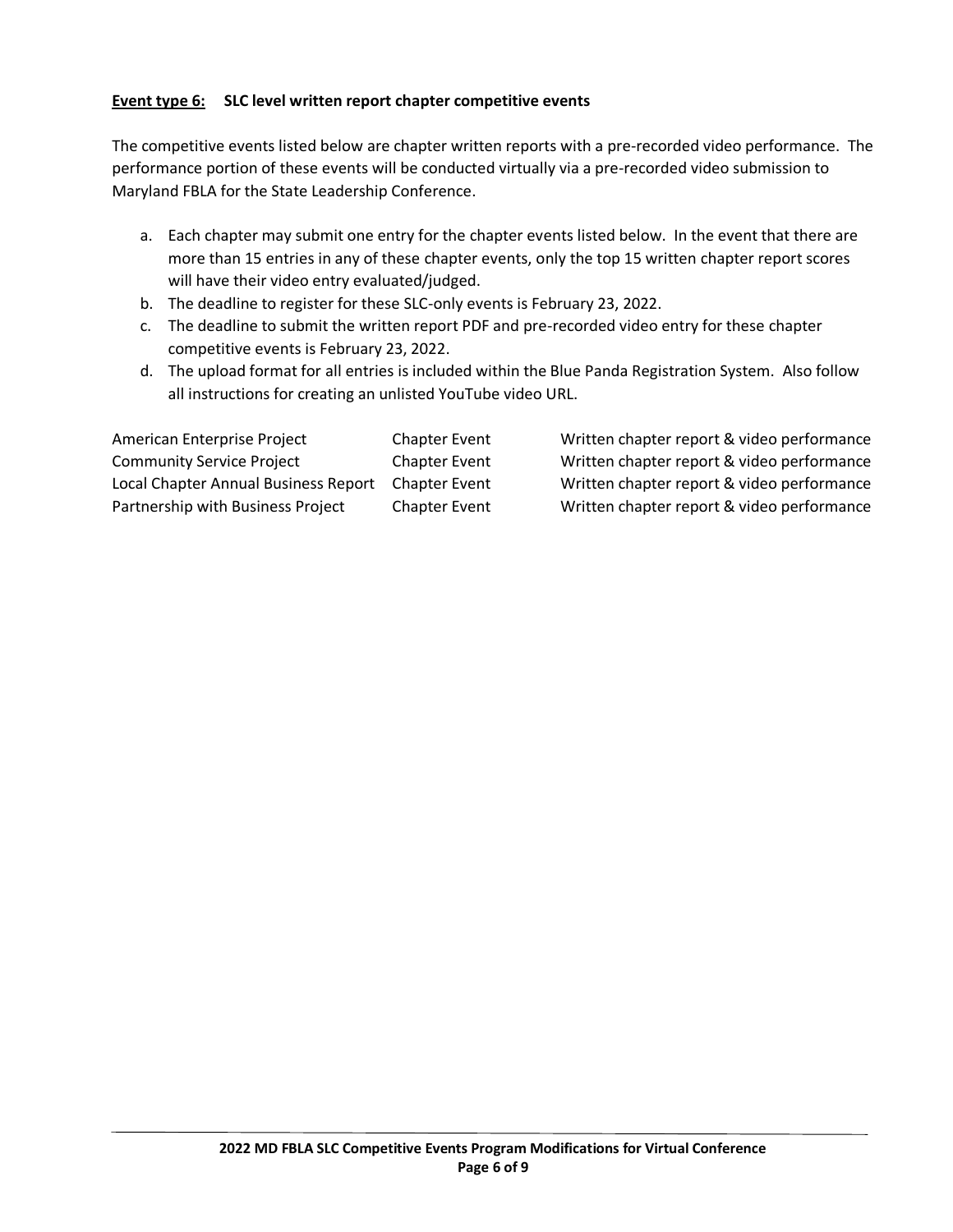## **Event type 6: SLC level written report chapter competitive events**

The competitive events listed below are chapter written reports with a pre-recorded video performance. The performance portion of these events will be conducted virtually via a pre-recorded video submission to Maryland FBLA for the State Leadership Conference.

- a. Each chapter may submit one entry for the chapter events listed below. In the event that there are more than 15 entries in any of these chapter events, only the top 15 written chapter report scores will have their video entry evaluated/judged.
- b. The deadline to register for these SLC-only events is February 23, 2022.
- c. The deadline to submit the written report PDF and pre-recorded video entry for these chapter competitive events is February 23, 2022.
- d. The upload format for all entries is included within the Blue Panda Registration System. Also follow all instructions for creating an unlisted YouTube video URL.

American Enterprise Project Chapter Event Written chapter report & video performance Community Service Project Chapter Event Written chapter report & video performance Local Chapter Annual Business Report Chapter Event Written chapter report & video performance Partnership with Business Project Chapter Event Written chapter report & video performance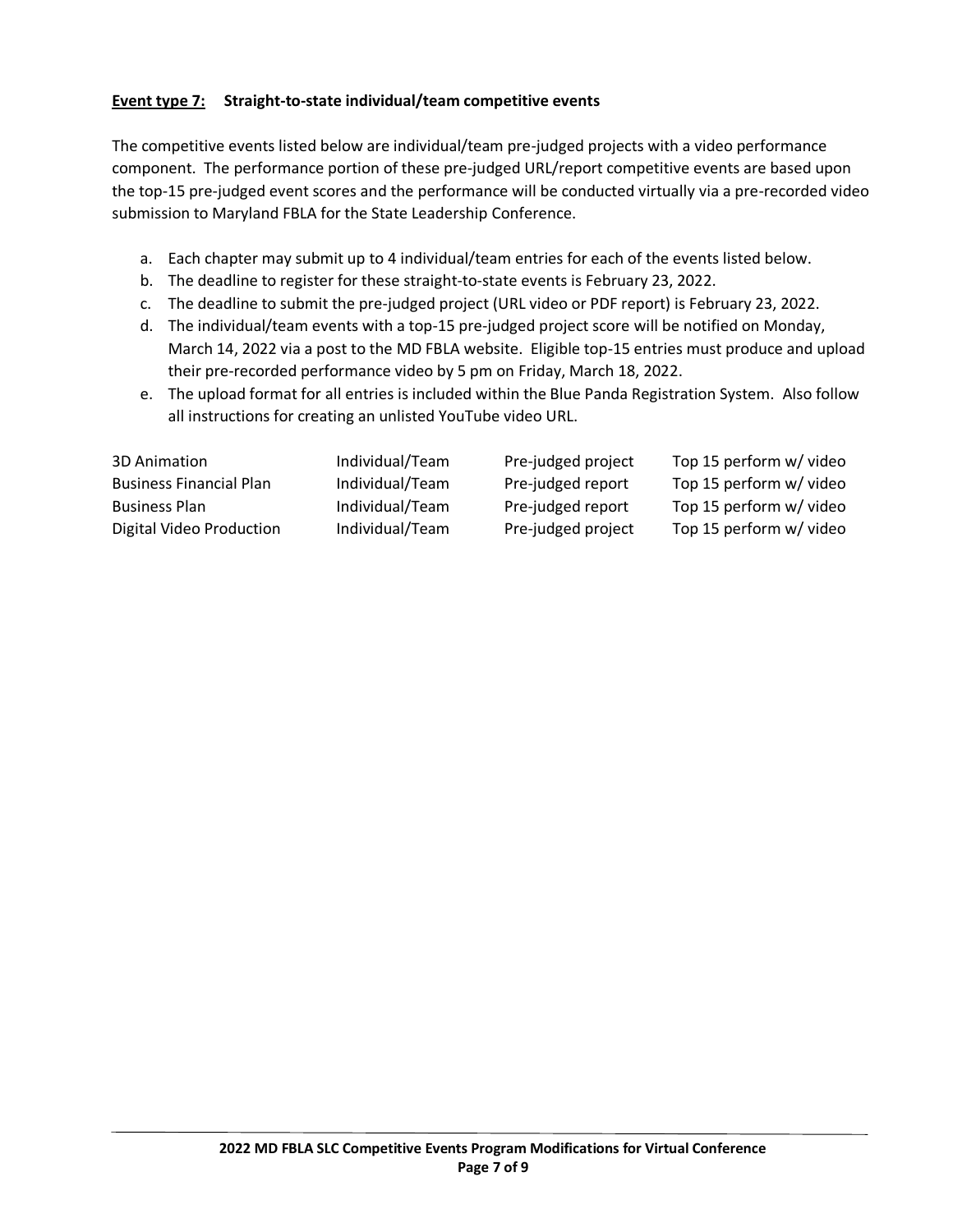# **Event type 7: Straight-to-state individual/team competitive events**

The competitive events listed below are individual/team pre-judged projects with a video performance component. The performance portion of these pre-judged URL/report competitive events are based upon the top-15 pre-judged event scores and the performance will be conducted virtually via a pre-recorded video submission to Maryland FBLA for the State Leadership Conference.

- a. Each chapter may submit up to 4 individual/team entries for each of the events listed below.
- b. The deadline to register for these straight-to-state events is February 23, 2022.
- c. The deadline to submit the pre-judged project (URL video or PDF report) is February 23, 2022.
- d. The individual/team events with a top-15 pre-judged project score will be notified on Monday, March 14, 2022 via a post to the MD FBLA website. Eligible top-15 entries must produce and upload their pre-recorded performance video by 5 pm on Friday, March 18, 2022.
- e. The upload format for all entries is included within the Blue Panda Registration System. Also follow all instructions for creating an unlisted YouTube video URL.

| 3D Animation                   | Individual/Team | Pre-judged project | Top 15 perform w/ video |
|--------------------------------|-----------------|--------------------|-------------------------|
| <b>Business Financial Plan</b> | Individual/Team | Pre-judged report  | Top 15 perform w/ video |
| <b>Business Plan</b>           | Individual/Team | Pre-judged report  | Top 15 perform w/ video |
| Digital Video Production       | Individual/Team | Pre-judged project | Top 15 perform w/ video |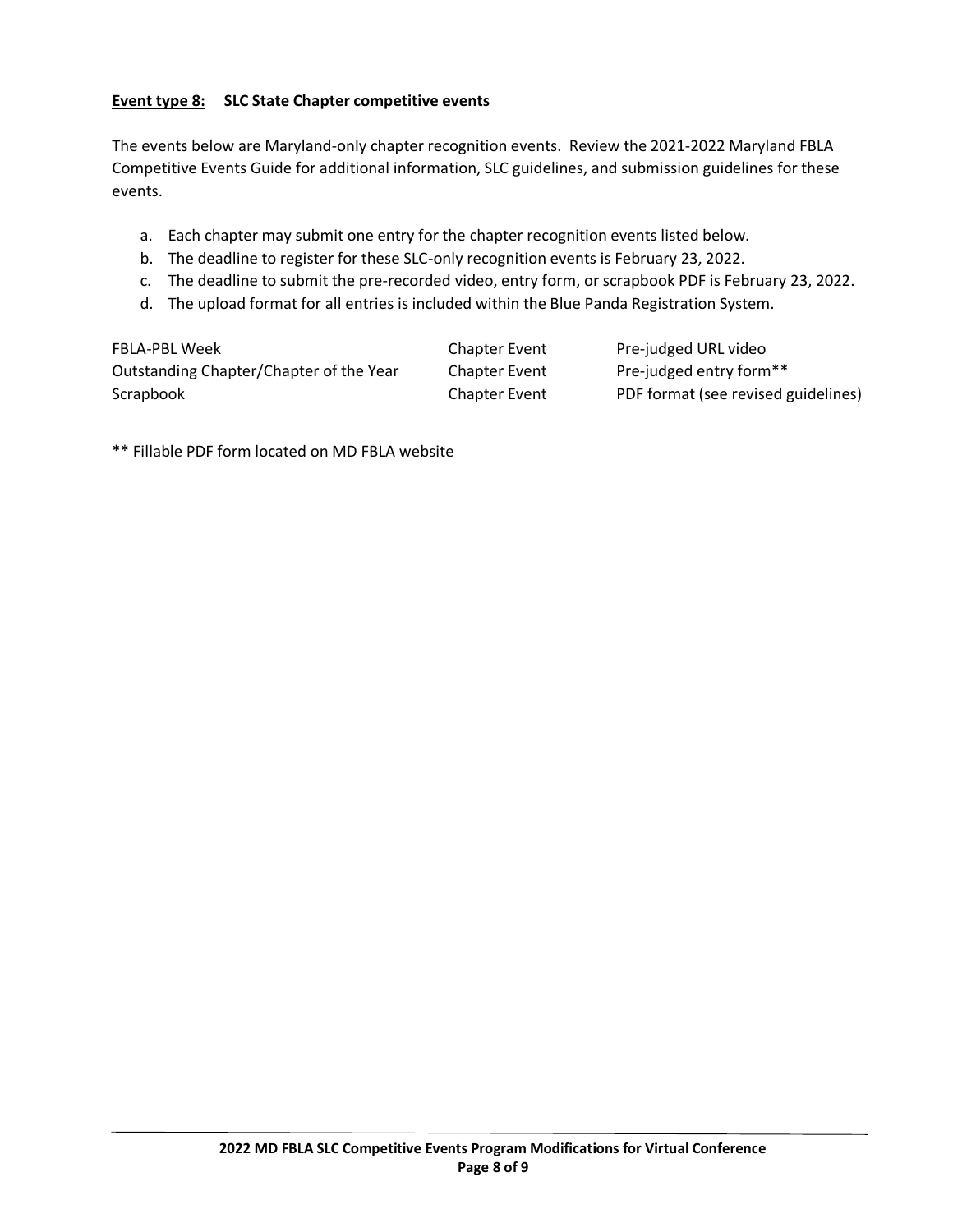## **Event type 8: SLC State Chapter competitive events**

The events below are Maryland-only chapter recognition events. Review the 2021-2022 Maryland FBLA Competitive Events Guide for additional information, SLC guidelines, and submission guidelines for these events.

- a. Each chapter may submit one entry for the chapter recognition events listed below.
- b. The deadline to register for these SLC-only recognition events is February 23, 2022.
- c. The deadline to submit the pre-recorded video, entry form, or scrapbook PDF is February 23, 2022.
- d. The upload format for all entries is included within the Blue Panda Registration System.

| FBLA-PBL Week                           | <b>Chapter Event</b> | Pre-judged URL video                |
|-----------------------------------------|----------------------|-------------------------------------|
| Outstanding Chapter/Chapter of the Year | <b>Chapter Event</b> | Pre-judged entry form**             |
| Scrapbook                               | <b>Chapter Event</b> | PDF format (see revised guidelines) |

\*\* Fillable PDF form located on MD FBLA website